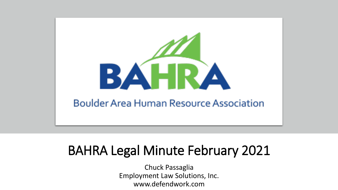

## BAHRA Legal Minute February 2021

Chuck Passaglia Employment Law Solutions, Inc. www.defendwork.com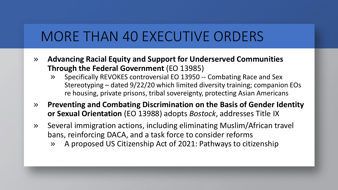#### MORE THAN 40 EXECUTIVE ORDERS

- » **Advancing Racial Equity and Support for Underserved Communities Through the Federal Government** (EO 13985)
	- » Specifically REVOKES controversial EO 13950 -- Combating Race and Sex Stereotyping – dated 9/22/20 which limited diversity training; companion EOs re housing, private prisons, tribal sovereignty, protecting Asian Americans
- » **Preventing and Combating Discrimination on the Basis of Gender Identity or Sexual Orientation** (EO 13988) adopts *Bostock*, addresses Title IX
- » Several immigration actions, including eliminating Muslim/African travel bans, reinforcing DACA, and a task force to consider reforms
	- » A proposed US Citizenship Act of 2021: Pathways to citizenship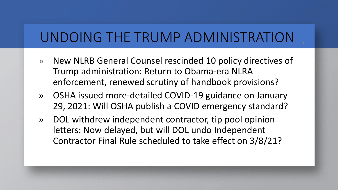## UNDOING THE TRUMP ADMINISTRATION

- » New NLRB General Counsel rescinded 10 policy directives of Trump administration: Return to Obama-era NLRA enforcement, renewed scrutiny of handbook provisions?
- » OSHA issued more-detailed COVID-19 guidance on January 29, 2021: Will OSHA publish a COVID emergency standard?
- » DOL withdrew independent contractor, tip pool opinion letters: Now delayed, but will DOL undo Independent Contractor Final Rule scheduled to take effect on 3/8/21?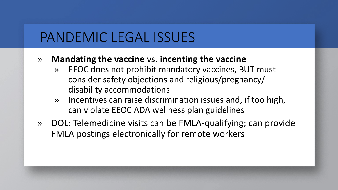### PANDEMIC LEGAL ISSUES

- » **Mandating the vaccine** vs. **incenting the vaccine**
	- » EEOC does not prohibit mandatory vaccines, BUT must consider safety objections and religious/pregnancy/ disability accommodations
	- » Incentives can raise discrimination issues and, if too high, can violate EEOC ADA wellness plan guidelines
- » DOL: Telemedicine visits can be FMLA-qualifying; can provide FMLA postings electronically for remote workers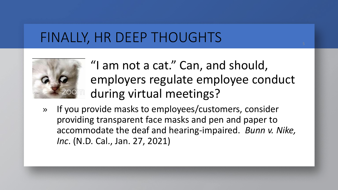## FINALLY, HR DEEP THOUGHTS



- » "I am not a cat." Can, and should, employers regulate employee conduct during virtual meetings?
- » If you provide masks to employees/customers, consider providing transparent face masks and pen and paper to accommodate the deaf and hearing-impaired. *Bunn v. Nike, Inc*. (N.D. Cal., Jan. 27, 2021)